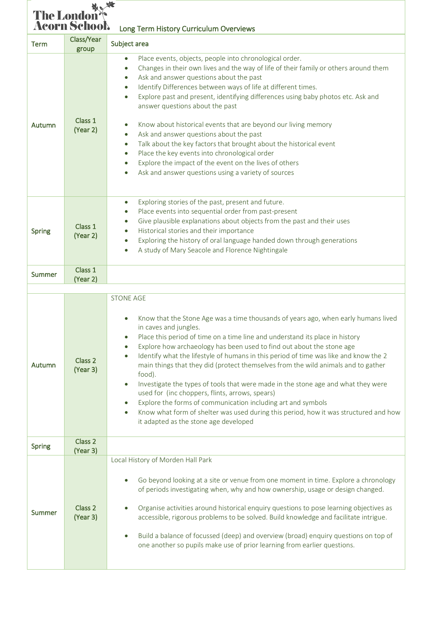| The London<br><b>Acorn School.</b><br>Long Term History Curriculum Overviews |                     |                                                                                                                                                                                                                                                                                                                                                                                                                                                                                                                                                                                                                                                                                                                                                                                                                   |  |  |
|------------------------------------------------------------------------------|---------------------|-------------------------------------------------------------------------------------------------------------------------------------------------------------------------------------------------------------------------------------------------------------------------------------------------------------------------------------------------------------------------------------------------------------------------------------------------------------------------------------------------------------------------------------------------------------------------------------------------------------------------------------------------------------------------------------------------------------------------------------------------------------------------------------------------------------------|--|--|
| <b>Term</b>                                                                  | Class/Year<br>group | Subject area                                                                                                                                                                                                                                                                                                                                                                                                                                                                                                                                                                                                                                                                                                                                                                                                      |  |  |
| Autumn                                                                       | Class 1<br>(Year 2) | Place events, objects, people into chronological order.<br>Changes in their own lives and the way of life of their family or others around them<br>Ask and answer questions about the past<br>Identify Differences between ways of life at different times.<br>Explore past and present, identifying differences using baby photos etc. Ask and<br>answer questions about the past<br>Know about historical events that are beyond our living memory<br>Ask and answer questions about the past<br>$\bullet$<br>Talk about the key factors that brought about the historical event<br>$\bullet$<br>Place the key events into chronological order<br>$\bullet$<br>Explore the impact of the event on the lives of others<br>Ask and answer questions using a variety of sources                                    |  |  |
| Spring                                                                       | Class 1<br>(Year 2) | Exploring stories of the past, present and future.<br>$\bullet$<br>Place events into sequential order from past-present<br>Give plausible explanations about objects from the past and their uses<br>Historical stories and their importance<br>Exploring the history of oral language handed down through generations<br>A study of Mary Seacole and Florence Nightingale                                                                                                                                                                                                                                                                                                                                                                                                                                        |  |  |
| <b>Summer</b>                                                                | Class 1<br>(Year 2) |                                                                                                                                                                                                                                                                                                                                                                                                                                                                                                                                                                                                                                                                                                                                                                                                                   |  |  |
|                                                                              |                     | <b>STONE AGE</b>                                                                                                                                                                                                                                                                                                                                                                                                                                                                                                                                                                                                                                                                                                                                                                                                  |  |  |
| Autumn                                                                       | Class 2<br>(Year 3) | Know that the Stone Age was a time thousands of years ago, when early humans lived<br>in caves and jungles.<br>Place this period of time on a time line and understand its place in history<br>Explore how archaeology has been used to find out about the stone age<br>Identify what the lifestyle of humans in this period of time was like and know the 2<br>main things that they did (protect themselves from the wild animals and to gather<br>food).<br>Investigate the types of tools that were made in the stone age and what they were<br>$\bullet$<br>used for (inc choppers, flints, arrows, spears)<br>Explore the forms of communication including art and symbols<br>Know what form of shelter was used during this period, how it was structured and how<br>it adapted as the stone age developed |  |  |
| Spring                                                                       | Class 2<br>(Year 3) |                                                                                                                                                                                                                                                                                                                                                                                                                                                                                                                                                                                                                                                                                                                                                                                                                   |  |  |
| <b>Summer</b>                                                                | Class 2<br>(Year 3) | Local History of Morden Hall Park<br>Go beyond looking at a site or venue from one moment in time. Explore a chronology<br>of periods investigating when, why and how ownership, usage or design changed.<br>Organise activities around historical enquiry questions to pose learning objectives as<br>accessible, rigorous problems to be solved. Build knowledge and facilitate intrigue.<br>Build a balance of focussed (deep) and overview (broad) enquiry questions on top of<br>one another so pupils make use of prior learning from earlier questions.                                                                                                                                                                                                                                                    |  |  |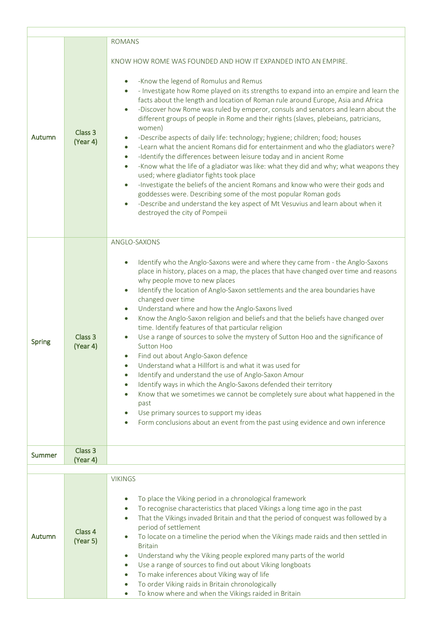|               |                     | <b>ROMANS</b>                                                                                                                                                                                                                                                                                                                                                                                                                                                                                                                                                                                                                                                                                                                                                                                                                                                                                                                                                                                                                                                                                                                                                                                                                             |  |  |
|---------------|---------------------|-------------------------------------------------------------------------------------------------------------------------------------------------------------------------------------------------------------------------------------------------------------------------------------------------------------------------------------------------------------------------------------------------------------------------------------------------------------------------------------------------------------------------------------------------------------------------------------------------------------------------------------------------------------------------------------------------------------------------------------------------------------------------------------------------------------------------------------------------------------------------------------------------------------------------------------------------------------------------------------------------------------------------------------------------------------------------------------------------------------------------------------------------------------------------------------------------------------------------------------------|--|--|
| Autumn        | Class 3<br>(Year 4) | KNOW HOW ROME WAS FOUNDED AND HOW IT EXPANDED INTO AN EMPIRE.<br>-Know the legend of Romulus and Remus<br>$\bullet$<br>- Investigate how Rome played on its strengths to expand into an empire and learn the<br>$\bullet$<br>facts about the length and location of Roman rule around Europe, Asia and Africa<br>-Discover how Rome was ruled by emperor, consuls and senators and learn about the<br>$\bullet$<br>different groups of people in Rome and their rights (slaves, plebeians, patricians,<br>women)<br>-Describe aspects of daily life: technology; hygiene; children; food; houses<br>$\bullet$<br>-Learn what the ancient Romans did for entertainment and who the gladiators were?<br>$\bullet$<br>-Identify the differences between leisure today and in ancient Rome<br>$\bullet$<br>-Know what the life of a gladiator was like: what they did and why; what weapons they<br>$\bullet$<br>used; where gladiator fights took place<br>-Investigate the beliefs of the ancient Romans and know who were their gods and<br>$\bullet$<br>goddesses were. Describing some of the most popular Roman gods<br>-Describe and understand the key aspect of Mt Vesuvius and learn about when it<br>destroyed the city of Pompeii |  |  |
| Spring        | Class 3<br>(Year 4) | ANGLO-SAXONS<br>Identify who the Anglo-Saxons were and where they came from - the Anglo-Saxons<br>$\bullet$<br>place in history, places on a map, the places that have changed over time and reasons<br>why people move to new places<br>Identify the location of Anglo-Saxon settlements and the area boundaries have<br>$\bullet$<br>changed over time<br>Understand where and how the Anglo-Saxons lived<br>$\bullet$<br>Know the Anglo-Saxon religion and beliefs and that the beliefs have changed over<br>$\bullet$<br>time. Identify features of that particular religion<br>Use a range of sources to solve the mystery of Sutton Hoo and the significance of<br>$\bullet$<br>Sutton Hoo<br>Find out about Anglo-Saxon defence<br>Understand what a Hillfort is and what it was used for<br>Identify and understand the use of Anglo-Saxon Amour<br>$\bullet$<br>Identify ways in which the Anglo-Saxons defended their territory<br>Know that we sometimes we cannot be completely sure about what happened in the<br>past<br>Use primary sources to support my ideas<br>Form conclusions about an event from the past using evidence and own inference                                                                          |  |  |
| <b>Summer</b> | Class 3<br>(Year 4) |                                                                                                                                                                                                                                                                                                                                                                                                                                                                                                                                                                                                                                                                                                                                                                                                                                                                                                                                                                                                                                                                                                                                                                                                                                           |  |  |
|               |                     |                                                                                                                                                                                                                                                                                                                                                                                                                                                                                                                                                                                                                                                                                                                                                                                                                                                                                                                                                                                                                                                                                                                                                                                                                                           |  |  |
| Autumn        | Class 4<br>(Year 5) | <b>VIKINGS</b><br>To place the Viking period in a chronological framework<br>To recognise characteristics that placed Vikings a long time ago in the past<br>$\bullet$<br>That the Vikings invaded Britain and that the period of conquest was followed by a<br>$\bullet$<br>period of settlement<br>To locate on a timeline the period when the Vikings made raids and then settled in<br>$\bullet$<br><b>Britain</b><br>Understand why the Viking people explored many parts of the world<br>$\bullet$<br>Use a range of sources to find out about Viking longboats<br>$\bullet$<br>To make inferences about Viking way of life<br>$\bullet$<br>To order Viking raids in Britain chronologically<br>$\bullet$<br>To know where and when the Vikings raided in Britain<br>$\bullet$                                                                                                                                                                                                                                                                                                                                                                                                                                                      |  |  |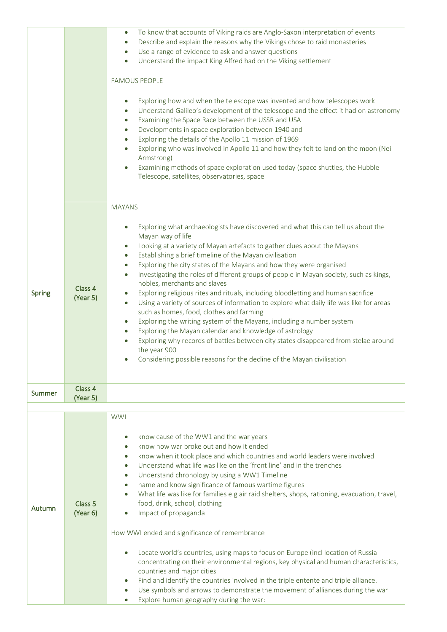|               |                                | To know that accounts of Viking raids are Anglo-Saxon interpretation of events<br>$\bullet$                                                                                                                                                                                                                                                                                                                                                                                                                                                                                                                                                                                                                                                                                                                                                                                                                                                                                                                                                         |
|---------------|--------------------------------|-----------------------------------------------------------------------------------------------------------------------------------------------------------------------------------------------------------------------------------------------------------------------------------------------------------------------------------------------------------------------------------------------------------------------------------------------------------------------------------------------------------------------------------------------------------------------------------------------------------------------------------------------------------------------------------------------------------------------------------------------------------------------------------------------------------------------------------------------------------------------------------------------------------------------------------------------------------------------------------------------------------------------------------------------------|
|               |                                | Describe and explain the reasons why the Vikings chose to raid monasteries                                                                                                                                                                                                                                                                                                                                                                                                                                                                                                                                                                                                                                                                                                                                                                                                                                                                                                                                                                          |
|               |                                | Use a range of evidence to ask and answer questions<br>Understand the impact King Alfred had on the Viking settlement                                                                                                                                                                                                                                                                                                                                                                                                                                                                                                                                                                                                                                                                                                                                                                                                                                                                                                                               |
|               |                                |                                                                                                                                                                                                                                                                                                                                                                                                                                                                                                                                                                                                                                                                                                                                                                                                                                                                                                                                                                                                                                                     |
|               |                                | <b>FAMOUS PEOPLE</b>                                                                                                                                                                                                                                                                                                                                                                                                                                                                                                                                                                                                                                                                                                                                                                                                                                                                                                                                                                                                                                |
|               |                                | Exploring how and when the telescope was invented and how telescopes work<br>Understand Galileo's development of the telescope and the effect it had on astronomy<br>Examining the Space Race between the USSR and USA<br>Developments in space exploration between 1940 and<br>$\bullet$<br>Exploring the details of the Apollo 11 mission of 1969<br>Exploring who was involved in Apollo 11 and how they felt to land on the moon (Neil<br>Armstrong)<br>Examining methods of space exploration used today (space shuttles, the Hubble<br>Telescope, satellites, observatories, space                                                                                                                                                                                                                                                                                                                                                                                                                                                            |
|               |                                | <b>MAYANS</b>                                                                                                                                                                                                                                                                                                                                                                                                                                                                                                                                                                                                                                                                                                                                                                                                                                                                                                                                                                                                                                       |
| Spring        | Class 4<br>(Year 5)            | Exploring what archaeologists have discovered and what this can tell us about the<br>Mayan way of life<br>Looking at a variety of Mayan artefacts to gather clues about the Mayans<br>Establishing a brief timeline of the Mayan civilisation<br>$\bullet$<br>Exploring the city states of the Mayans and how they were organised<br>$\bullet$<br>Investigating the roles of different groups of people in Mayan society, such as kings,<br>$\bullet$<br>nobles, merchants and slaves<br>Exploring religious rites and rituals, including bloodletting and human sacrifice<br>Using a variety of sources of information to explore what daily life was like for areas<br>such as homes, food, clothes and farming<br>Exploring the writing system of the Mayans, including a number system<br>$\bullet$<br>Exploring the Mayan calendar and knowledge of astrology<br>Exploring why records of battles between city states disappeared from stelae around<br>the year 900<br>Considering possible reasons for the decline of the Mayan civilisation |
| Summer        | Class 4                        |                                                                                                                                                                                                                                                                                                                                                                                                                                                                                                                                                                                                                                                                                                                                                                                                                                                                                                                                                                                                                                                     |
|               | (Year 5)                       |                                                                                                                                                                                                                                                                                                                                                                                                                                                                                                                                                                                                                                                                                                                                                                                                                                                                                                                                                                                                                                                     |
| <b>Autumn</b> | Class <sub>5</sub><br>(Year 6) | <b>WWI</b><br>know cause of the WW1 and the war years<br>know how war broke out and how it ended<br>know when it took place and which countries and world leaders were involved<br>Understand what life was like on the 'front line' and in the trenches<br>Understand chronology by using a WW1 Timeline<br>name and know significance of famous wartime figures<br>What life was like for families e.g air raid shelters, shops, rationing, evacuation, travel,<br>food, drink, school, clothing<br>Impact of propaganda<br>How WWI ended and significance of remembrance<br>Locate world's countries, using maps to focus on Europe (incl location of Russia<br>concentrating on their environmental regions, key physical and human characteristics,<br>countries and major cities<br>Find and identify the countries involved in the triple entente and triple alliance.<br>Use symbols and arrows to demonstrate the movement of alliances during the war<br>Explore human geography during the war:                                          |